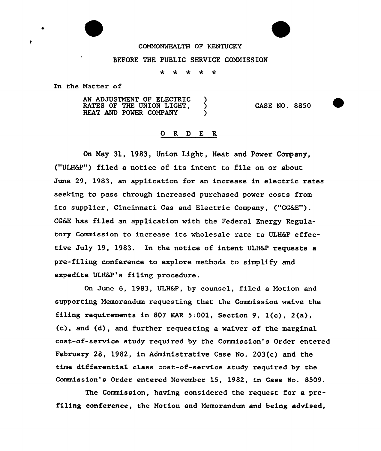## COMMONWEALTH OF KENTUCKY

## BEFORE THE PUBLIC SERVICE COMMISSION

÷  $\star$  $\star$  $\star$ 大

In the Matter of

÷

AN ADJUSTMENT OF ELECTRIC )<br>RATES OF THE UNION LIGHT, RATES OF THE UNION LIGHT,  $\bigcirc$ <br>HEAT AND POWER COMPANY HEAT AND POWER COMPANY

CASE NO. 8850

## 0 R <sup>D</sup> E R

On May 31, 1983, Union Light, Heat and Power Company, ("ULH6Z") filed a notice of its intent to file on or about June 29, 1983, an application for an increase in electric rates seeking to pass through increased purchased power costs from its supplier, Cincinnati Gas and Electric Company, ("CG6E"). CG&E has filed an application with the Federal Energy Regulatory Commission to increase its wholesale rate to ULH&P effective July 19, 1983. In the notice of intent ULH&P requests a pre-filing conference to explore methods to simplify and expedite ULH&P's filing procedure.

On June 6, 1983, ULH&P, by counsel, filed a Motion and supporting Memorandum requesting that the Commission waive the filing requirements in 80? KAR 5:001, Section 9, 1(c), 2(a),  $(c)$ , and  $(d)$ , and further requesting a waiver of the marginal cost-of-service study required by the Commission's Order entered February 28, 1982, in Administrative Case No. 203(c) and the time differential class cost-of-service study required by the Commission's Order entered November 15, 1982, in Case No. 8509.

The Commission, having considered the request for a prefiling conference, the Motion and Memorandum and being advised,